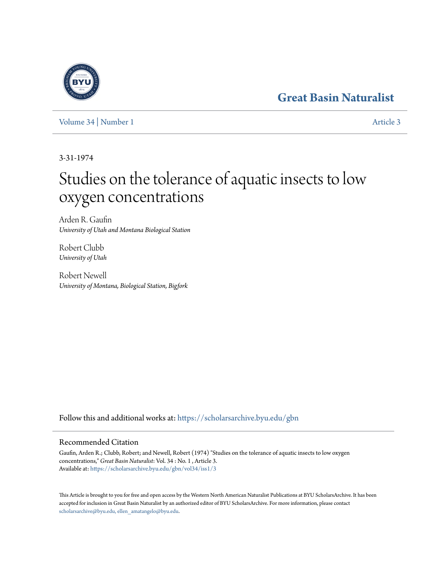## **[Great Basin Naturalist](https://scholarsarchive.byu.edu/gbn?utm_source=scholarsarchive.byu.edu%2Fgbn%2Fvol34%2Fiss1%2F3&utm_medium=PDF&utm_campaign=PDFCoverPages)**

[Volume 34](https://scholarsarchive.byu.edu/gbn/vol34?utm_source=scholarsarchive.byu.edu%2Fgbn%2Fvol34%2Fiss1%2F3&utm_medium=PDF&utm_campaign=PDFCoverPages) | [Number 1](https://scholarsarchive.byu.edu/gbn/vol34/iss1?utm_source=scholarsarchive.byu.edu%2Fgbn%2Fvol34%2Fiss1%2F3&utm_medium=PDF&utm_campaign=PDFCoverPages) [Article 3](https://scholarsarchive.byu.edu/gbn/vol34/iss1/3?utm_source=scholarsarchive.byu.edu%2Fgbn%2Fvol34%2Fiss1%2F3&utm_medium=PDF&utm_campaign=PDFCoverPages)

3-31-1974

# Studies on the tolerance of aquatic insects to low oxygen concentrations

Arden R. Gaufin *University of Utah and Montana Biological Station*

Robert Clubb *University of Utah*

Robert Newell *University of Montana, Biological Station, Bigfork*

Follow this and additional works at: [https://scholarsarchive.byu.edu/gbn](https://scholarsarchive.byu.edu/gbn?utm_source=scholarsarchive.byu.edu%2Fgbn%2Fvol34%2Fiss1%2F3&utm_medium=PDF&utm_campaign=PDFCoverPages)

### Recommended Citation

Gaufin, Arden R.; Clubb, Robert; and Newell, Robert (1974) "Studies on the tolerance of aquatic insects to low oxygen concentrations," *Great Basin Naturalist*: Vol. 34 : No. 1 , Article 3. Available at: [https://scholarsarchive.byu.edu/gbn/vol34/iss1/3](https://scholarsarchive.byu.edu/gbn/vol34/iss1/3?utm_source=scholarsarchive.byu.edu%2Fgbn%2Fvol34%2Fiss1%2F3&utm_medium=PDF&utm_campaign=PDFCoverPages)

This Article is brought to you for free and open access by the Western North American Naturalist Publications at BYU ScholarsArchive. It has been accepted for inclusion in Great Basin Naturalist by an authorized editor of BYU ScholarsArchive. For more information, please contact [scholarsarchive@byu.edu, ellen\\_amatangelo@byu.edu.](mailto:scholarsarchive@byu.edu,%20ellen_amatangelo@byu.edu)

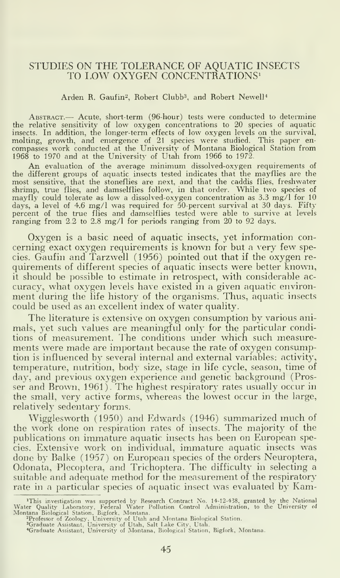#### STUDIES ON THE TOLERANCE OF AQUATIC INSECTS TO LOW OXYGEN CONCENTRATIONS'

#### Arden R. Gaufin<sup>2</sup>, Robert Clubb<sup>3</sup>, and Robert Newell<sup>4</sup>

Abstract.— Acute, short-term (96-hour) tests were conducted to determine the relative sensitivity of low oxygen concentrations to 20 species of aquatic insects. In addition, the longer-term effects of low oxygen levels on the survival, molting, growth, and emergence of 21 species were studied. This paper en- compasses work conducted at the University of Montana Biological Station from 1968 to 1970 and at the University of Utah from 1966 to 1972.

An evaluation of the average minimum dissolved-oxygen requirements of the different groups of aquatic insects tested indicates that the mayflies are the most sensitive, that the stoneflies are next, and that the caddis flies, freshwater shrimp, true flies, and damselflies follow, in that order. While two species of mayfly could tolerate as low a dissolved-oxygen concentration as 3.3 mg/1 for 10 days, a level of 4.6 mg/1 was required for 50-percent survival at 30 days. Fifty percent of the true flies and damselflies tested were able to survive at levels ranging from 2.2 to 2.8 mg/l for periods ranging from 20 to 92 days.

Oxygen is a basic need of aquatic insects, yet information con cerning exact oxygen requirements is known for but <sup>a</sup> very few species. Gaufin and Tarzwell (1956) pointed out that if the oxygen re quirements of different species of aquatic insects were better known, it should be possible to estimate in retrospect, with considerable ac curacy, what oxygen levels have existed in a given aquatic environment during the life history of the organisms. Thus, aquatic insects could be used as an excellent index of water quality.

The literature is extensive on oxygen consumption by various animals, yet such values are meaningful only for the particular conditions of measurement. The conditions under which such measure ments were made are important because the rate of oxygen consumption is influenced by several internal and external variables: activity, temperature, nutrition, body size, stage in life cycle, season, time of day, and previous oxygen experience and genetic background (Prosser and Brown, 1961). The highest respiratory rates usually occur in the small, very active forms, whereas the lowest occur in the large, relatively sedentary forms.

Wigglesworth (1950) and Edwards (1946) summarized much of the work done on respiration rates of insects. The majority of the publications on immature aquatic insects has been on European species. Extensive work on individual, immature aquatic insects was done by Balke (1957) on European species of the orders Neuroptera, Odonata, Plecoptera, and Trichoptera. The difficulty in selecting <sup>a</sup> suitable and adequate method for the measurement of the respiratory rate in <sup>a</sup> particular species of aquatic insect was evaluated by Kam-

<sup>&</sup>lt;sup>1</sup>This investigation was supported by Research Contract No. 14-12-438, granted by the National Water Quality Laboratory, Federal Water Pollution Control Administration, to the University of Montana Biological Station, Big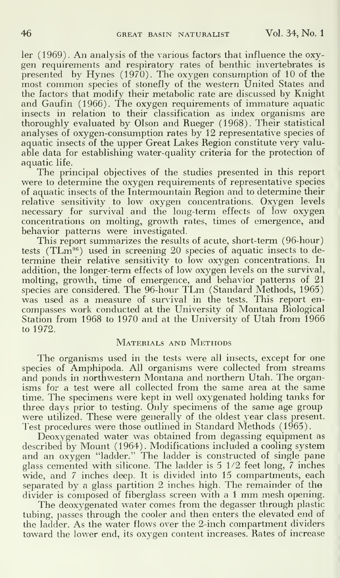ler (1969). An analysis of the various factors that influence the oxygen requirements and respiratory rates of benthic invertebrates is presented by Hynes (1970). The oxygen consumption of 10 of the most common species of stonefly of the western United States and the factors that modify their metabolic rate are discussed by Knight and Gaufin (1966). The oxygen requirements of immature aquatic insects in relation to their classification as index organisms are thoroughly evaluated by Olson and Rueger (1968). Their statistical analyses of oxygen-consumption rates by 12 representative species of aquatic insects of the upper Great Lakes Region constitute very valuable data for establishing water-quality criteria for the protection of aquatic life.

The principal objectives of the studies presented in this report were to determine the oxygen requirements of representative species of aquatic insects of the Intermountain Region and to determine their relative sensitivity to low oxygen concentrations. Oxygen levels necessary for survival and the long-term effects of low oxygen concentrations on molting, growth rates, times of emergence, and behavior patterns were investigated.

This report summarizes the results of acute, short-term (96-hour) tests  $(TLm<sup>96</sup>)$  used in screening 20 species of aquatic insects to determine their relative sensitivity to low oxygen concentrations. In addition, the longer-term effects of low oxygen levels on the survival, molting, growth, time of emergence, and behavior patterns of 21 species are considered. The 96-hour TLm (Standard Methods, 1965) was used as a measure of survival in the tests. This report en compasses work conducted at the University of Montana Biological Station from 1968 to 1970 and at the University of Utah from 1966 to 1972.

#### MATERIALS AND METHODS

The organisms used in the tests were all insects, except for one species of Amphipoda. All organisms were collected from streams and ponds in northwestern Montana and northern Utah. The organisms for a test were all collected from the same area at the same time. The specimens were kept in well oxygenated holding tanks for three days prior to testing. Only specimens of the same age group were utilized. These were generally of the oldest year class present. Test procedures were those outlined in Standard Methods (1965).

Deoxygenated water was obtained from degassing equipment as described by Mount (1964). Modifications included a cooling system and an oxygen "ladder." The ladder is constructed of single pane glass cemented with silicone. The ladder is 5 1/2 feet long, <sup>7</sup> inches wide, and <sup>7</sup> inches deep. It is divided into 15 compartments, each separated by a glass partition 2 inches high. The remainder of the divider is composed of fiberglass screen with <sup>a</sup> <sup>1</sup> mm mesh opening.

The deoxygenated water comes from the degasser through plastic tubing, passes through the cooler and then enters the elevated end of the ladder. As the water flows over the 2-inch compartment dividers toward the lower end, its oxygen content increases. Rates of increase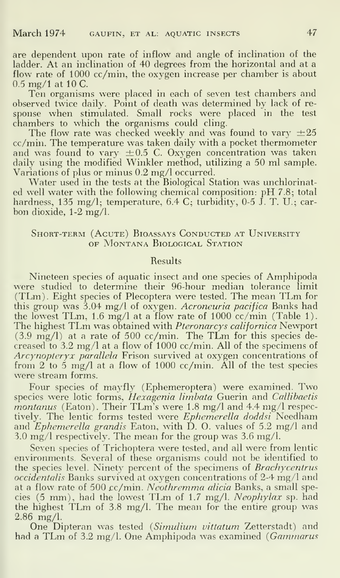are dependent upon rate of inflow and angle of inclination of the ladder. At an inclination of 40 degrees from the horizontal and at a flow rate of  $1000 \text{ cc/min}$ , the oxygen increase per chamber is about  $0.5 \text{ mg}/1$  at 10 C.

Ten organisms were placed in each of seven test chambers and observed twice daily. Point of death was determined by lack of re sponse when stimulated. Small rocks were placed in the test chambers to which the organisms could cling.

The flow rate was checked weekly and was found to vary  $\pm 25$ cc/min. The temperature was taken daily with a pocket thermometer and was found to vary  $\pm 0.5$  C. Oxygen concentration was taken daily using the modified Winkler method, utilizing a 50 ml sample. Variations of plus or minus 0.2 mg/1 occurred.

Water used in the tests at the Biological Station was unchlorinated well water with the following chemical composition: pH 7.8; total hardness, 135 mg/l; temperature, 6.4 C; turbidity, 0-5 J. T. U.; carbon dioxide, 1-2 mg/1.

#### SHORT-TERM (ACUTE) BIOASSAYS CONDUCTED AT UNIVERSITY OF Montana Biological Station

#### Results

Nineteen species of aquatic insect and one species of Amphipoda were studied to determine their 96-hour median tolerance limit (TLm). Eight species of Plecoptera were tested. The mean TLm for this group was 3.04 mg/1 of oxygen. Acroneuria pacifica Banks had the lowest TLm, 1.6 mg/l at a flow rate of  $1000 \text{ cc/min}$  (Table 1). The highest TLm was obtained with Pteronarcys californica Newport (3.9 mg/1) at <sup>a</sup> rate of <sup>500</sup> cc/min. The TLm for this species de creased to 3.2 mg/1 at a flow of 1000 cc/min. All of the specimens of Arcynopteryx parallela Frison survived at oxygen concentrations of from 2 to 5 mg/1 at a flow of 1000 cc/min. All of the test species were stream forms.

Four species of mayfly (Ephemeroptera) were examined. Two species were lotic forms, Hexagenia limbata Guerin and Callibaetis montanus (Eaton). Their TLm's were 1.8 mg/l and 4.4 mg/l respectively. The lentic forms tested were Ephemerella doddsi Needham and *Ephemerella grandis* Eaton, with  $\acute{D}$ . O. values of 5.2 mg/l and 3.0 mg/1 respectively. The mean for the group was 3.6 mg/1.

Seven species of Trichoptera were tested, and all were from lentic environments. Several of these organisms could not be identified to the species level. Ninety percent of the specimens of Brachycentrus occidentalis Banks survived at oxygen concentrations of 2-4 mg/1 and at a flow rate of 500 cc/min. Neothremma alicia Banks, a small species (5 mm), had the lowest TLm of 1.7 mg/1. Neophylax sp. had the highest TLm of 3.8 mg/1. The mean for the entire group was 2.86 mg/1.

One Dipteran was tested {Simulium vittatum Zetterstadt) and had a TLm of 3.2 mg/l. One Amphipoda was examined (Gammarus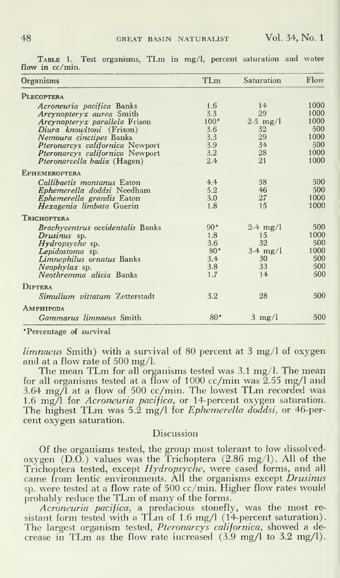| Organisms                               | <b>TLm</b> | Saturation       | Flow |
|-----------------------------------------|------------|------------------|------|
| PLECOPTERA                              |            |                  |      |
| Acroneuria pacifica Banks               | 1.6        | 14               | 1000 |
| <i>Arcynopteryx aurea</i> Smith         | 3.3        | 29               | 1000 |
| Arcynopteryx parallela Frison           | $100*$     | $2-5$ mg/l       | 1000 |
| Diura knowltoni (Frison)                | 3.6        | 32               | 500  |
| Nemoura cinctipes Banks                 | 3.3        | 29               | 1000 |
| Pteronarcys californica Newport         | 3.9        | 34               | 500  |
| Pteronarcys californica Newport         | 3.2        | 28               | 1000 |
| Pteronarcella badia (Hagen)             | 2.4        | 21               | 1000 |
| <b>EPHEMEROPTERA</b>                    |            |                  |      |
| Callibaetis montanus Eaton              | 4.4        | 38               | 500  |
| Ephemerella doddsi Needham              | 5.2        | 46               | 500  |
| Ephemerella grandis Eaton               | 3.0        | 27               | 1000 |
| Hexagenia limbata Guerin                | 1.8        | 15               | 1000 |
| TRICHOPTERA                             |            |                  |      |
| <b>Brachycentrus occidentalis Banks</b> | $90*$      | $2-4$ mg/l       | 500  |
| Drusinus sp.                            | 1.8        | 15               | 1000 |
| <i>Hydropsyche</i> sp.                  | 3.6        | 32               | 500  |
| Lepidostoma sp.                         | $80*$      | $3-4$ mg/l       | 1000 |
| <i>Limnephilus ornatus</i> Banks        | 3.4        | 30               | 500  |
| $Neophylax$ sp.                         | 3.8        | 33               | 500  |
| Neothremma alicia Banks                 | 1.7        | 14               | 500  |
| DIPTERA                                 |            |                  |      |
| Simulium vittatum Zetterstadt           | 3.2        | 28               | 500  |
| AMPHIPODA                               |            |                  |      |
| <i>Gammarus limnaeus</i> Smith          | $80*$      | $3 \text{ mg/l}$ | 500  |

TABLE 1. Test organisms, TLm in mg/l, percent saturation and water flow in  $cc/min$ .

\*Percentage of survival

limnaeus Smith) with a survival of 80 percent at 3 mg/l of oxygen and at a flow rate of 500 mg/l.<br>The mean TLm for all organisms tested was 3.1 mg/l. The mean

for all organisms tested at a flow of 1000 cc/min was 2.55 mg/l and<br>3.64 mg/l at a flow of 500 cc/min. The lowest TLm recorded was 1.6 mg/l for *Acroneuria pacifica*, or 14-percent oxygen saturation.<br>The highest TLm was 5.2 mg/l for *Ephemerella doddsi*, or 46-percent oxygen saturation.

#### Discussion

Of the organisms tested, the group most tolerant to low dissolved-<br>oxygen (D.O.) values was the Trichoptera  $(2.86 \text{ mg/l})$ . All of the<br>Trichoptera tested, except  $Hydropsyche$ , were cased forms, and all came from lentic environments. All the organisms except Drusinus sp. were tested at a flow rate of 500 cc/min. Higher flow rates would probably reduce the TLm of many of the forms.

*Acroneuria pacifica*, a predacious stonefly, was the most re-<br>sistant form tested with a TLm of 1.6 mg/l (14-percent saturation). The largest organism tested, *Pteronarcys californica*, showed a decrease in TLm as the flow rate increased (3.9 mg/l to 3.2 mg/l).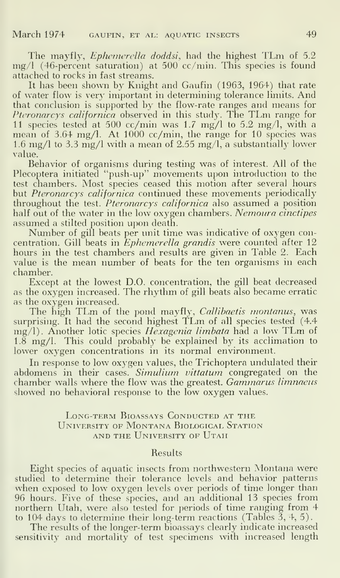The mayfly, *Ephemerella doddsi*, had the highest TLm of 5.2  $mg/l$  (46-percent saturation) at 500 cc/min. This species is found attached to rocks in fast streams.

It has been shown by Knight and Gaufin (1963, 1964) that rate of water flow is very important in determining tolerance limits. And that conclusion is supported by the flow-rate ranges and means for Pteronarcys californica observed in this study. The TLm range for 11 species tested at 500 cc/min was 1.7 mg/l to 5.2 mg/l, with a mean of 3.64 mg/1. At 1000 cc/min, the range for 10 species was 1.6 mg/l to 3.3 mg/l with a mean of 2.55 mg/l, a substantially lower  $\hspace{0.1mm}$ value.

Behavior of organisms during testing was of interest. All of the Plecoptera initiated "push-up" movements upon introduction to the test chambers. Most species ceased this motion after several hours but Pteronarcys californica continued these movements periodically throughout the test. *Pteronarcys californica* also assumed a position half out of the water in the low oxygen chambers. Nemoura cinctipes assumed a stilted position upon death.

Number of gill beats per unit time was indicative of oxygen concentration. Gill beats in *Ephemerella grandis* were counted after 12 hours in the test chambers and results are given in Table 2. Each value is the mean number of beats for the ten organisms in each chamber.

Except at the lowest D.O. concentration, the gill beat decreased as the oxygen increased. The rhythm of gill beats also became erratic as the oxygen increased.

The high TLm of the pond mayfly, *Callibaetis montanus*, was surprising. It had the second highest TLm of all species tested (4.4 mg/l). Another lotic species Hexagenia limbata had a low TLm of 1.8 mg/1. This could probably be explained by its acclimation to lower oxygen concentrations in its normal environment.

In response to low oxygen values, the Trichoptera undulated their abdomens in their cases. *Simulium vittatum* congregated on the chamber walls where the flow was the greatest. *Gammarus limnaeus* showed no behavioral response to the low oxygen values.

#### LONG-TERM BIOASSAYS CONDUCTED AT THE University of Montana Biological Station AND THE UNIVERSITY OF UTAH

#### Results

Eight species of aquatic insects from northwestern Montana were studied to determine their tolerance levels and behavior patterns when exposed to low oxygen levels over periods of time longer than 96 hours. Five of these species, and an additional 13 species from northern Utah, were also tested for periods of time ranging from 4 to 104 days to determine their long-term reactions (Tables 3, 4, 5).

The results of the longer-term bioassays clearly indicate increased sensitivity and mortality of test specimens with increased length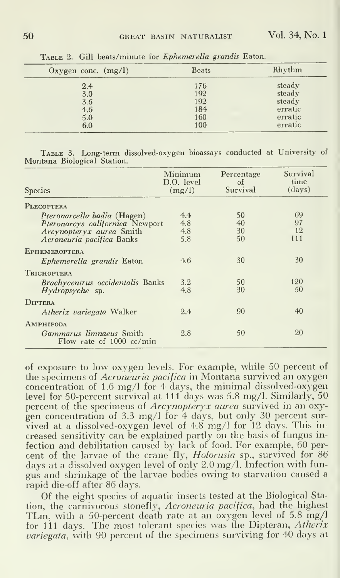| Oxygen conc. $(mg/l)$ | <b>Beats</b> | Rhythm  |
|-----------------------|--------------|---------|
| $2.4^{\circ}$         | 176          | steady  |
| 3.0                   | 192          | steady  |
| $\frac{3.6}{4.6}$     | 192          | steady  |
|                       | 184          | erratic |
| $5.0$                 | 160          | erratic |
| 6.0                   | 100          | erratic |

TABLE 2. Gill beats/minute for Ephemerella grandis Eaton.

Table 3. Long-term dissolved-oxygen bioassays conducted at University of Montana Biological Station.

| <b>Species</b>                                                       | Minimum<br>D.O. level<br>(mg/l) | Percentage<br>of<br>Survival | Survival<br>time<br>(days) |
|----------------------------------------------------------------------|---------------------------------|------------------------------|----------------------------|
| PLECOPTERA                                                           |                                 |                              |                            |
| <i>Pteronarcella badia</i> (Hagen)                                   | 4.4                             | 50                           | 69                         |
| Pteronarcys californica Newport                                      | 4.8                             | 40                           | 97                         |
| Arcynopteryx aurea Smith                                             | 4.8                             | 30                           | 12                         |
| Acroneuria pacifica Banks                                            | 5.8                             | 50                           | 111                        |
| <b>EPHEMEROPTERA</b>                                                 |                                 |                              |                            |
| <i>Ephemerella grandis</i> Eaton                                     | 4.6                             | 30                           | 30                         |
| TRICHOPTERA                                                          |                                 |                              |                            |
| Brachycentrus occidentalis Banks                                     | 3.2                             | 50                           | 120                        |
| $Hydropsyche$ sp.                                                    | 4.8                             | 30                           | 50                         |
| DIPTERA                                                              |                                 |                              |                            |
| <i>Atherix variegata</i> Walker                                      | 2.4                             | 90                           | 40                         |
| AMPHIPODA                                                            |                                 |                              |                            |
| <i>Gammarus limnaeus Smith</i><br>Flow rate of $1000 \text{ cc/min}$ | 2.8                             | 50                           | 20                         |

of exposure to low oxygen levels. For example, while 50 percent of the specimens of *Acroneuria pacifica* in Montana survived an oxygen concentration of 1.6 mg/l for 4 days, the minimal dissolved-oxygen level for 50-percent survival at 111 days was 5.8 mg/l. Similarly, 50 percent of the specimens of *Arcynopteryx aurea* survived in an oxygen concentration of 3.3 mg/l for 4 days, but only 30 percent survived at a dissolved-oxygen level of 4.8 mg/l for 12 days. This increased sensitivity can be explained partly on the basis of fungus in-<br>fection and debilitation caused by lack of food. For example, 60 per-<br>cent of the larvae of the crane fly, *Holorusia* sp., survived for 86 days at a dissolved oxygen level of only 2.0 mg/l. Infection with fungus and shrinkage of the larvae bodies owing to starvation caused a rapid die-off after 86 days.

Of the eight species of aquatic insects tested at the Biological Station, the carnivorous stonefly, Acroneuria pacifica, had the highest TLm, with a 50-percent death rate at an oxygen level of 5.8 mg/l for 111 days. The most tolerant species was the Dipteran, Atherix variegata, with 90 percent of the specimens surviving for 40 days at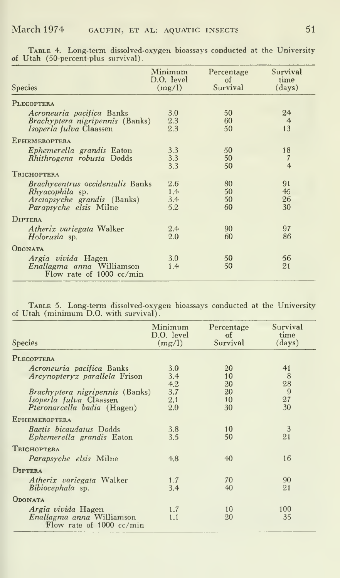| <b>Species</b>                                                                                                                    | Minimum<br>D.O. level<br>(mg/l) | Percentage<br>of<br>Survival | Survival<br>time<br>(days)             |
|-----------------------------------------------------------------------------------------------------------------------------------|---------------------------------|------------------------------|----------------------------------------|
| PLECOPTERA                                                                                                                        |                                 |                              |                                        |
| Acroneuria pacifica Banks<br><i>Brachyptera nigripennis</i> (Banks)<br>Isoperla fulva Claassen                                    | 3.0<br>2.3<br>2.3               | 50<br>60<br>50               | 24<br>$\overline{4}$<br>13             |
| <b>EPHEMEROPTERA</b>                                                                                                              |                                 |                              |                                        |
| <i>Ephemerella grandis</i> Eaton<br>Rhithrogena robusta Dodds                                                                     | 3.3<br>3.3<br>3.3               | 50<br>50<br>50               | 18<br>$\overline{7}$<br>$\overline{4}$ |
| TRICHOPTERA                                                                                                                       |                                 |                              |                                        |
| <i>Brachycentrus occidentalis</i> Banks<br><i>Rhyacophila</i> sp.<br><i>Arctopsyche grandis</i> (Banks)<br>Parapsyche elsis Milne | 2.6<br>1.4<br>3.4<br>5.2        | 80<br>50<br>50<br>60         | 91<br>45<br>26<br>30                   |
| DIPTERA                                                                                                                           |                                 |                              |                                        |
| <i>Atherix variegata</i> Walker<br>Holorusia sp.                                                                                  | 2.4<br>2.0                      | 90<br>60                     | 97<br>86                               |
| <b>ODONATA</b>                                                                                                                    |                                 |                              |                                        |
| Argia vivida Hagen<br>Enallagma anna Williamson<br>Flow rate of $1000 \text{ cc/min}$                                             | 3.0<br>1.4                      | 50<br>50                     | 56<br>21                               |

Table 4. Long-term dissolved-oxygen bioassays conducted at the University of Utah (50-percent-plus survival).

TABLE 5. Long-term dissolved-oxygen bioassays conducted at the University of Utah (minimum D.O. with survival).

| <b>Species</b>                                                  | Minimum<br>D.O. level<br>(mg/l) | Percentage<br>of<br>Survival | Survival<br>time<br>(days) |
|-----------------------------------------------------------------|---------------------------------|------------------------------|----------------------------|
| PLECOPTERA                                                      |                                 |                              |                            |
| Acroneuria pacifica Banks                                       | 3.0                             | 20                           | 41                         |
| <i>Arcynopteryx parallela</i> Frison                            | 3.4                             | 10                           | 8                          |
|                                                                 | 4.2                             | 20                           | 28                         |
| <i>Brachyptera nigripennis</i> (Banks)                          | 3.7                             | 20                           | 9                          |
| Isoperla fulva Claassen                                         | 2.1                             | 10                           | 27                         |
| Pteronarcella badia (Hagen)                                     | 2.0                             | 30                           | 30                         |
| EPHEMEROPTERA                                                   |                                 |                              |                            |
| <i>Baetis bicaudatus</i> Dodds                                  | 3.8                             | 10                           | 3                          |
| <i>Ephemerella grandis</i> Eaton                                | 3.5                             | 50                           | 21                         |
| TRICHOPTERA                                                     |                                 |                              |                            |
| <i>Parapsyche elsis</i> Milne                                   | 4.8                             | 40                           | 16                         |
| DIPTERA                                                         |                                 |                              |                            |
| <i>Atherix variegata</i> Walker                                 | 1.7                             | 70                           | 90                         |
| Bibiocephala sp.                                                | 3.4                             | 40                           | 21                         |
| ODONATA                                                         |                                 |                              |                            |
| Argia vivida Hagen                                              | 1.7                             | 10                           | 100                        |
| Enallagma anna Williamson<br>Flow rate of $1000 \text{ cc/min}$ | 1.1                             | 20                           | 35                         |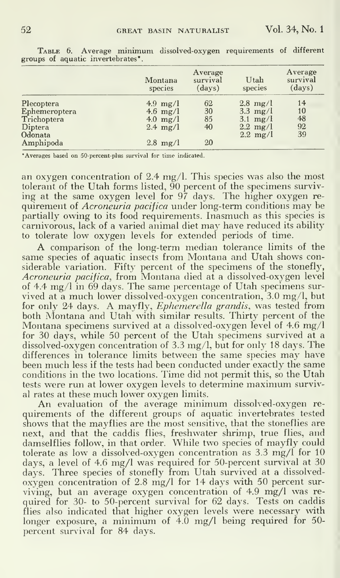|               | Montana<br>species | Average<br>survival<br>(days) | Utah<br>species    | Average<br>survival<br>(days) |
|---------------|--------------------|-------------------------------|--------------------|-------------------------------|
| Plecoptera    | 4.9 $mg/l$         | 62                            | $2.8 \text{ mg/l}$ | 14                            |
| Ephemeroptera | 4.6 mg/l           | 30                            | $3.3 \text{ mg/l}$ | 10                            |
| Trichoptera   | 4.0 $mg/l$         | 85                            | $3.1 \text{ mg/l}$ | 48                            |
| Diptera       | 2.4 $mg/l$         | 40                            | $2.2 \text{ mg/l}$ | 92                            |
| Odonata       |                    |                               | $2.2 \text{ mg/l}$ | 39                            |
| Amphipoda     | $2.8 \text{ mg}/l$ | 20                            |                    |                               |

Table 6. Average minimum dissolved-oxygen requirements of different groups of aquatic invertebrates\*.

\*Averages based on 50-percent-plus survival for time indicated.

an oxygen concentration of 2.4 mg/l. This species was also the most tolerant of the Utah forms listed, 90 percent of the specimens surviving at the same oxygen level for 97 days. The higher oxygen requirement of *Acroneuria pacifica* under long-term conditions may be partially owing to its food requirements. Inasmuch as this species is carnivorous, lack of a varied animal diet may have reduced its ability to tolerate low oxygen levels for extended periods of time.

A comparison of the long-term median tolerance limits of the same species of aquatic insects from Montana and Utah shows considerable variation. Fifty percent of the specimens of the stonefly, Acroneuria pacifica, from Montana died at a dissolved-oxygen level of 4.4  $mg/l$  in 69 days. The same percentage of Utah specimens survived at a much lower dissolved-oxygen concentration, 3.0 mg/l, but for only 24 days. A mayfly, *Ephemerella grandis*, was tested from both Montana and Utah with similar results. Thirty percent of the Montana specimens survived at a dissolved-oxygen level of 4.6 mg/l for 30 days, while 50 percent of the Utah specimens survived at a dissolved- $\alpha$ xygen concentration of 3.3 mg/l, but for only 18 days. The differences in tolerance limits between the same species may have been much less if the tests had been conducted under exactly the same conditions in the two locations. Time did not permit this, so the Utah tests were run at lower oxygen levels to determine maximum survival rates at these much lower oxygen limits.

An evaluation of the average minimum dissolved-oxygen requirements of the different groups of aquatic invertebrates tested shows that the mayflies are the most sensitive, that the stoneflies are next, and that the caddis flies, freshwater shrimp, true flies, and damselflies follow, in that order. While two species of mayfly could tolerate as low a dissolved-oxygen concentration as 3.3 mg/l for 10 days, a level of 4.6 mg/l was required for 50-percent survival at 30 days. Three species of stonefly from Utah survived at a dissolvedoxygen concentration of 2.8 mg/l for 14 days with 50 percent surviving, but an average oxygen concentration of 4.9 mg/l was required for 30- to 50-percent survival for 62 days. Tests on caddis flies also indicated that higher oxygen levels were necessary with longer exposure, a minimum of 4.0 mg/l being required for 50percent survival for 84 days.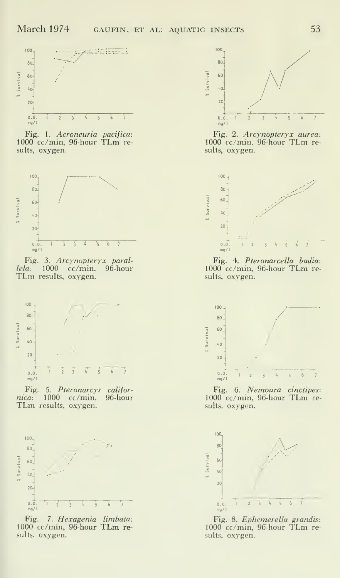

Fig. 1*. Acroneuria pacifica:*<br>1000 cc/min, 96-hour TLm results, oxygen.



Fig. 3. Arcynopteryx paral-<br>lela: 1000 cc/min. 96-hour TLm results, oxygen.



Fig. 5. Pteronarcys califor-<br>ca: 1000 cc/min. 96-hour  $nica: 1000 \quad \text{cc/min}, \text{TLm}$  results, oxygen.



Fig. 7. Hexagenia limbata: <sup>1000</sup> cc/min, 96-hour TLm results, oxygen.



Fig. 2. Arcynopteryx aurea: <sup>1000</sup> cc/min. 96-hour TLm results, oxygen.



Fig. 4. Pteronarcella badia: <sup>1000</sup> cc/min, 96-hour TLm results, oxygen.



Fig. 6. Nemoura cinctipes: <sup>1000</sup> cc/min, 96-hour TLm results, oxygen.



Fig. 8. *Ephemerella grandis:*<br>1000 cc/min, 96-hour TLm results, oxygen.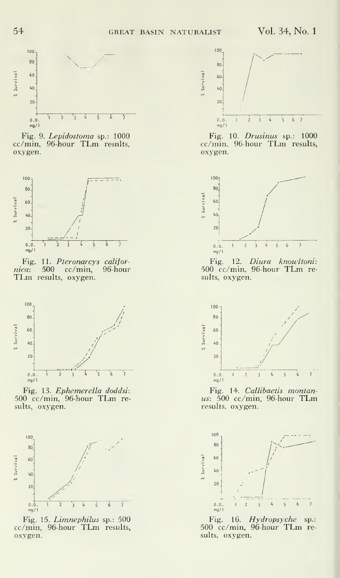

Fig. 9. Lepidostoma sp.: 1000 cc/min, 96-hour TLm results, oxygen.



Fig. 11. Pteronarcys califor-<br>ca: 500 cc/min, 96-hour nica: TLm results, oxygen.



Fig. 13. Ephemerella doddsi: 500 cc/min, 96-hour TLm results, oxygen.



Fig. 15. Limnephilus sp.: 500 cc/min, 96-hour TLm results, oxygen.



Fig. 10. Drusinus sp.: 1000 cc/min, 96-hour TLm results, oxygen.



Fig. 12. Diura knowltoni:<br>500 cc/min, 96-hour TLm results, oxygen.



Fig. 14. Callibaetis montanus:  $500 \text{ cc/min}$ , 96-hour TLm results, oxygen.



Fig. 16. Hydropsyche sp.:<br>500 cc/min, 96-hour TLm results, oxygen.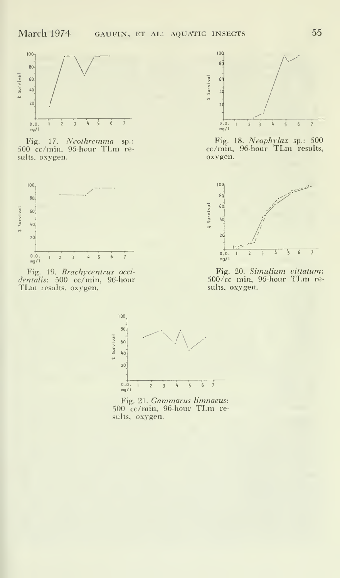

Fig. 17. Neothremma sp.: 500 cc/min. 96-hour TLni results, oxygen.



Fig. 19. Brachycentrus occi *dentalis:* 500 cc/min, 96-hour –<br>TLm results, oxygen.



Fig. 18. Neophylax sp.: 500 cc/min, 96-hour TLm results, oxygen.



Fig. 20. Simulium vittatum: <sup>500</sup> /cc min, 96- hour TLm results, oxygen.



Fig. 21. Gammarus limnaeus: <sup>500</sup> cc/min, 96-hour TLm results, oxygen.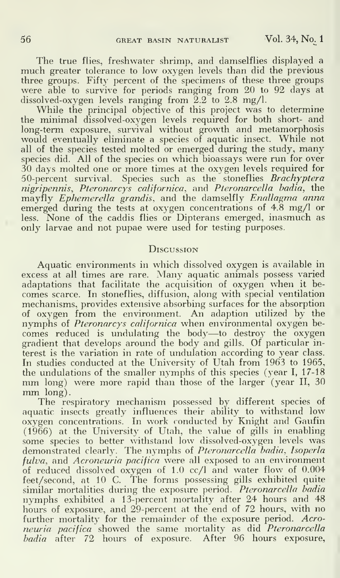The true flies, freshwater shrimp, and damselflies displayed <sup>a</sup> much greater tolerance to low oxygen levels than did the previous three groups. Fifty percent of the specimens of these three groups were able to survive for periods ranging from 20 to 92 days at dissolved-oxygen levels ranging from 2.2 to 2.8 mg/1.

While the principal objective of this project was to determine the minimal dissolved-oxygen levels required for both short- and long-term exposure, survival without growth and metamorphosis would eventually eliminate a species of aquatic insect. While not all of the species tested molted or emerged during the study, many species did. All of the species on which bioassays were run for over 30 days molted one or more times at the oxygen levels required for 50-percent survival. Species such as the stoneflies Brachyptera nigripennis, Pteronarcys californica, and Pteronarcella badia, the mayfly Ephemerella grandis, and the damselfly Enallagma anna emerged during the tests at oxygen concentrations of 4.8 mg/1 or less. None of the caddis flies or Dipterans emerged, inasmuch as only larvae and not pupae were used for testing purposes.

#### **DISCUSSION**

Aquatic environments in which dissolved oxygen is available in excess at all times are rare. Many aquatic animals possess varied adaptations that facilitate the acquisition of oxygen when it becomes scarce. In stoneflies, diffusion, along with special ventilation mechanisms, provides extensive absorbing surfaces for the absorption of oxygen from the environment. An adaption utilized by the nymphs of Pteronarcys californica when environmental oxygen becomes reduced is undulating the body—to destroy the oxygen gradient that develops around the body and gills. Of particular in terest is the variation in rate of undulation according to year class. In studies conducted at the University of Utah from 1963 to 1965, the undulations of the smaller nymphs of this species (year I, 17-18 mm long) were more rapid than those of the larger (year II, 30 mm long).

The respiratory mechanism possessed by different species of aquatic insects greatly influences their ability to withstand low oxygen concentrations. In work conducted by Knight and Gaufin (1966) at the University of Utah, the value of gills in enabling some species to better withstand low dissolved-oxygen levels was demonstrated clearly. The nymphs of Pteronarcella badia, Isoperla fulva, and Acroneuria pacifica were all exposed to an environment of reduced dissolved oxygen of 1.0 cc/1 and water flow of 0.004 feet/second, at 10 C. The forms possessing gills exhibited quite similar mortalities during the exposure period. *Pteronarcella badia* nymphs exhibited a 13-percent mortality after 24 hours and 48 hours of exposure, and 29-percent at the end of 72 hours, with no further mortality for the remainder of the exposure period. Acroneuria pacifica showed the same mortality as did Pteronarcella badia after 72 hours of exposure. After 96 hours exposure,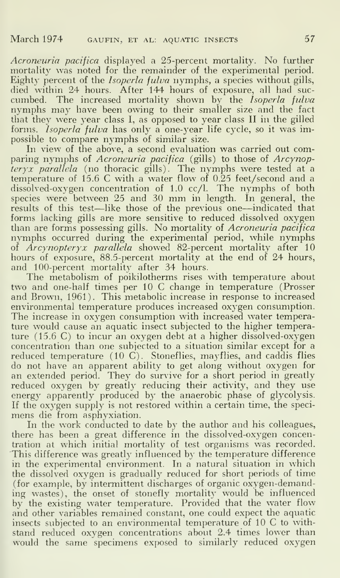Acroneuria pacifica displayed <sup>a</sup> 25-percent mortality. No further mortality was noted for the remainder of the experimental period. Eighty percent of the Isoperla fulva nymphs, a species without gills, died within 24 hours. After 144 hours of exposure, all had suc cumbed. The increased mortality shown by the Isoperla fulva nymphs may have been owing to their smaller size and the fact that they were year class I, as opposed to year class II in the gilled forms. Isoperla fulva has only a one-year life cycle, so it was impossible to compare nymphs of similar size.

In view of the above, a second evaluation was carried out comparing nymphs of Acroneuria pacifica (gills) to those of Arcynopteryx parallela (no thoracic gills). The nymphs were tested at a temperature of 15.6 C with <sup>a</sup> water flow of 0.25 feet/second and <sup>a</sup> dissolved-oxygen concentration of 1.0 cc/1. The nymphs of both species were between <sup>25</sup> and <sup>30</sup> mm in length. In general, the results of this test-—like those of the previous one—indicated that forms lacking gills are more sensitive to reduced dissolved oxygen than are forms possessing gills. No mortality of Acroneuria pacifica nymphs occurred during the experimental period, while nymphs of Arcynopteryx parallela showed 82-percent mortality after 10 hours of exposure, 88.5-percent mortality at the end of 24 hours, and 100-percent mortality after 34 hours.

The metabolism of poikilotherms rises with temperature about two and one-half times per 10 C change in temperature (Prosser and Brown, 1961). This metabolic increase in response to increased environmental temperature produces increased oxygen consumption. The increase in oxygen consumption with increased water temperature would cause an aquatic insect subjected to the higher temperature  $(15.6 \text{ C})$  to incur an oxygen debt at a higher dissolved-oxygen concentration than one subjected to a situation similar except for a reduced temperature (10 C). Stoneflies, mayflies, and caddis flies do not have an apparent ability to get along without oxygen for an extended period. They do survive for a short period in greatly reduced oxygen by greatly reducing their activity, and they use energy apparently produced by the anaerobic phase of glycolysis. If the oxygen supply is not restored within a certain time, the speci mens die from asphyxiation.

In the work conducted to date by the author and his colleagues, there has been a great difference in the dissolved-oxygen concentration at which initial mortality of test organisms was recorded. This difference was greatly influenced by the temperature difference in the experimental environment. In a natural situation in which the dissolved oxygen is gradually reduced for short periods of time (for example, by intermittent discharges of organic oxygen-demanding wastes), the onset of stonefly mortality would be influenced by the existing water temperature. Provided that the water flow and other variables remained constant, one could expect the aquatic insects subjected to an environmental temperature of 10 C to withstand reduced oxygen concentrations about 2.4 times lower than would the same specimens exposed to similarly reduced oxygen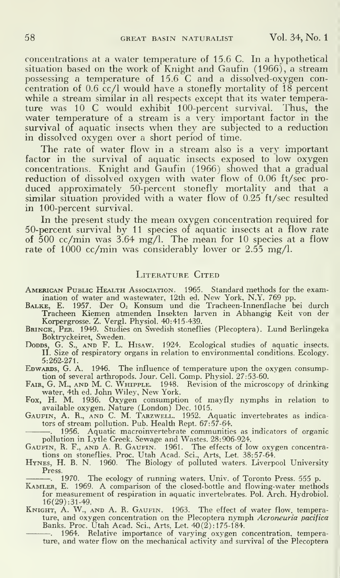concentrations at a water temperature of 15.6 C. In a hypothetical situation based on the work of Knight and Gaufin (1966), a stream possessing a temperature of 15.6 C and <sup>a</sup> dissolved-oxygen concentration of 0.6  $cc/l$  would have a stonefly mortality of 18 percent while a stream similar in all respects except that its water temperature was 10 C would exhibit 100-percent survival. Thus, the water temperature of a stream is a very important factor in the survival of aquatic insects when they are subjected to <sup>a</sup> reduction in dissolved oxygen over a short period of time.

The rate of water flow in a stream also is a very important factor in the survival of aquatic insects exposed to low oxygen concentrations. Knight and Gaufin (1966) showed that a gradual reduction of dissolved oxygen with water flow of 0.06 ft/sec pro duced approximately 50-percent stonefly mortality and that a similar situation provided with a water flow of 0.25 ft/sec resulted in 100-percent survival.

In the present study the mean oxygen concentration required for  $50$ -percent survival by 11 species of aquatic insects at a flow rate of 500 cc/min was 3.64 mg/1. The mean for 10 species at <sup>a</sup> flow rate of 1000 cc/min was considerably lower or 2.55 mg/1.

#### LITERATURE CITED

- Aмекісан Public Health Association. 1965. Standard methods for the examination of water and wastewater, 12th ed. New York, N.Y. 769 pp.<br>Валке, E. 1957. Der O2 Konsum und die Tracheen-Innenflache bei durch
- Tracheen Kiemen atmenden Insekten larven in Abhangig Keit von der
- Korpergrosse. Z. Vergl. Physiol. 40:415-439. Brinck, Per. 1949. Studies on Swedish stoneflies (Plecoptera). Lund Berlingeka Boktryckeiret, Sweden.
- DoDDS, G. S., AND F. L. Hisaw. 1924. Ecological studies of aquatic insects. II. Size of respiratory organs in relation to environmental conditions. Ecology. 5:262-271.

EDWARDS, G. A. 1946. The influence of temperature upon the oxygen consump-

tion of several arthropods. Jour. Cell. Comp. Physiol. 27:53-60.<br>FAIR, G. M., AND M. C. WHIPPLE. 1948. Revision of the microscopy of drinking<br>water, 4th ed. John Wiley, New York.<br>Fox, H. M. 1936. Oxygen consumption of mayf

available oxygen. Nature (London) Dec. 1015.<br>GAUFIN, A. R., AND C. M. TARZWELL. 1952. Aquatic invertebrates as indicators of stream pollution. Pub. Health Rept. 67:57-64.

. 1956. Aquatic macroinvertebrate communities as indicators of organic

pollution in Lytle Creek. Sewage and Wastes. 28:906-924.<br>GAUFIN, R. F., AND A. R. GAUFIN. 1961. The effects of low oxygen concentrations on stoneflies. Proc. Utah Acad. Sci., Arts, Let. 38:57-64.<br>HYNES, H. B. N. 1960

Press.

. 1970. The ecology of running waters. Univ. of Toronto Press. 555 p.

Kamler, E. 1969. A comparison of the closed-bottle and flowing-water methods for measurement of respiration in aquatic invertebrates. Pol. Arch. Hydrobiol. 16(29) :31-49.

KNIGHT, A. W., AND A. R. GAUFIN. 1963. The effect of water flow, temperature, and oxygen concentration on the Plecoptera nymph Acroneuria pacifica Banks. Proc. Utah Acad. Sci., Arts, Let.  $40(2): 175-184$ .

<sup>.</sup> 1964. Relative importance of varying oxygen concentration, temperature, and water flow on the mechanical activity and survival of the Plecoptera